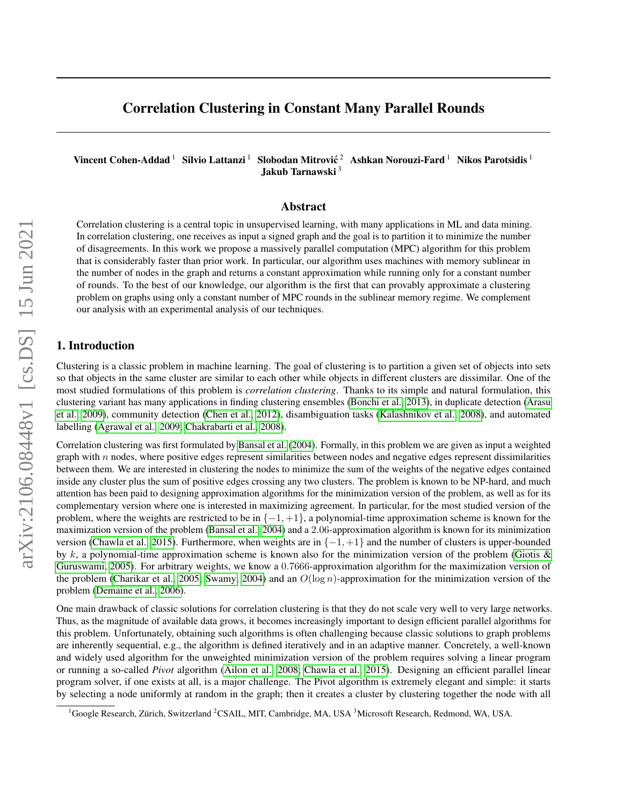# Correlation Clustering in Constant Many Parallel Rounds

Vincent Cohen-Addad <sup>1</sup> Silvio Lattanzi <sup>1</sup> Slobodan Mitrović <sup>2</sup> Ashkan Norouzi-Fard <sup>1</sup> Nikos Parotsidis <sup>1</sup> Jakub Tarnawski<sup>3</sup>

### Abstract

Correlation clustering is a central topic in unsupervised learning, with many applications in ML and data mining. In correlation clustering, one receives as input a signed graph and the goal is to partition it to minimize the number of disagreements. In this work we propose a massively parallel computation (MPC) algorithm for this problem that is considerably faster than prior work. In particular, our algorithm uses machines with memory sublinear in the number of nodes in the graph and returns a constant approximation while running only for a constant number of rounds. To the best of our knowledge, our algorithm is the first that can provably approximate a clustering problem on graphs using only a constant number of MPC rounds in the sublinear memory regime. We complement our analysis with an experimental analysis of our techniques.

### 1. Introduction

Clustering is a classic problem in machine learning. The goal of clustering is to partition a given set of objects into sets so that objects in the same cluster are similar to each other while objects in different clusters are dissimilar. One of the most studied formulations of this problem is *correlation clustering*. Thanks to its simple and natural formulation, this clustering variant has many applications in finding clustering ensembles [\(Bonchi et al., 2013\)](#page-16-0), in duplicate detection [\(Arasu](#page-15-0) [et al., 2009\)](#page-15-0), community detection [\(Chen et al., 2012\)](#page-16-1), disambiguation tasks [\(Kalashnikov et al., 2008\)](#page-16-2), and automated labelling [\(Agrawal et al., 2009;](#page-14-0) [Chakrabarti et al., 2008\)](#page-16-3).

Correlation clustering was first formulated by [Bansal et al.](#page-15-1) [\(2004\)](#page-15-1). Formally, in this problem we are given as input a weighted graph with  $n$  nodes, where positive edges represent similarities between nodes and negative edges represent dissimilarities between them. We are interested in clustering the nodes to minimize the sum of the weights of the negative edges contained inside any cluster plus the sum of positive edges crossing any two clusters. The problem is known to be NP-hard, and much attention has been paid to designing approximation algorithms for the minimization version of the problem, as well as for its complementary version where one is interested in maximizing agreement. In particular, for the most studied version of the problem, where the weights are restricted to be in  $\{-1, +1\}$ , a polynomial-time approximation scheme is known for the maximization version of the problem [\(Bansal et al., 2004\)](#page-15-1) and a 2.06-approximation algorithm is known for its minimization version [\(Chawla et al., 2015\)](#page-16-4). Furthermore, when weights are in  $\{-1, +1\}$  and the number of clusters is upper-bounded by k, a polynomial-time approximation scheme is known also for the minimization version of the problem (Giotis  $\&$ [Guruswami, 2005\)](#page-16-5). For arbitrary weights, we know a 0.7666-approximation algorithm for the maximization version of the problem [\(Charikar et al., 2005;](#page-16-6) [Swamy, 2004\)](#page-16-7) and an  $O(\log n)$ -approximation for the minimization version of the problem [\(Demaine et al., 2006\)](#page-16-8).

One main drawback of classic solutions for correlation clustering is that they do not scale very well to very large networks. Thus, as the magnitude of available data grows, it becomes increasingly important to design efficient parallel algorithms for this problem. Unfortunately, obtaining such algorithms is often challenging because classic solutions to graph problems are inherently sequential, e.g., the algorithm is defined iteratively and in an adaptive manner. Concretely, a well-known and widely used algorithm for the unweighted minimization version of the problem requires solving a linear program or running a so-called *Pivot* algorithm [\(Ailon et al., 2008;](#page-14-1) [Chawla et al., 2015\)](#page-16-4). Designing an efficient parallel linear program solver, if one exists at all, is a major challenge. The Pivot algorithm is extremely elegant and simple: it starts by selecting a node uniformly at random in the graph; then it creates a cluster by clustering together the node with all

<sup>&</sup>lt;sup>1</sup>Google Research, Zürich, Switzerland <sup>2</sup>CSAIL, MIT, Cambridge, MA, USA <sup>3</sup>Microsoft Research, Redmond, WA, USA.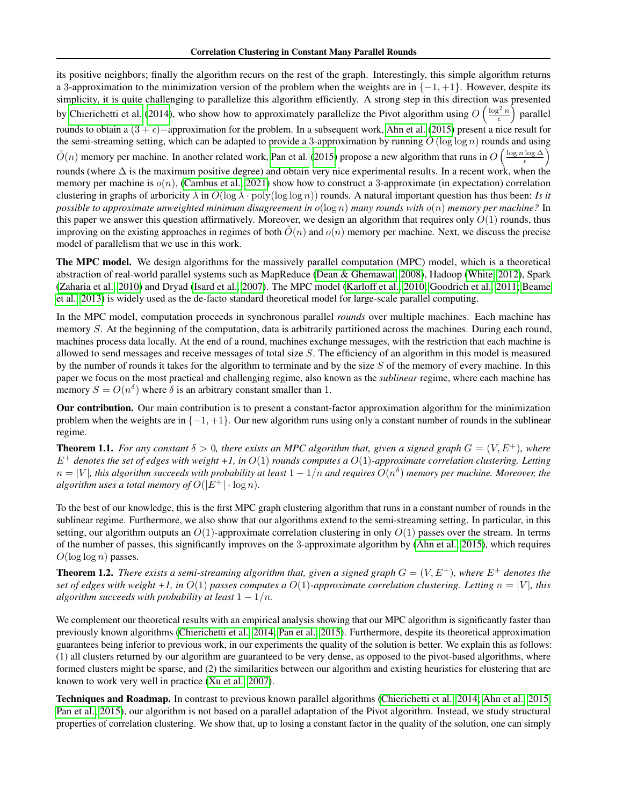its positive neighbors; finally the algorithm recurs on the rest of the graph. Interestingly, this simple algorithm returns a 3-approximation to the minimization version of the problem when the weights are in  $\{-1, +1\}$ . However, despite its simplicity, it is quite challenging to parallelize this algorithm efficiently. A strong step in this direction was presented by [Chierichetti et al.](#page-16-9) [\(2014\)](#page-16-9), who show how to approximately parallelize the Pivot algorithm using  $O\left(\frac{\log^2 n}{\epsilon}\right)$  parallel rounds to obtain a  $(3 + \epsilon)$ −approximation for the problem. In a subsequent work, [Ahn et al.](#page-14-2) [\(2015\)](#page-14-2) present a nice result for the semi-streaming setting, which can be adapted to provide a 3-approximation by running  $O(\log \log n)$  rounds and using  $\tilde{O}(n)$  memory per machine. In another related work, [Pan et al.](#page-16-10) [\(2015\)](#page-16-10) propose a new algorithm that runs in  $O\left(\frac{\log n \log \Delta}{\epsilon}\right)$ rounds (where  $\Delta$  is the maximum positive degree) and obtain very nice experimental results. In a recent work, when the memory per machine is  $o(n)$ , [\(Cambus et al., 2021\)](#page-16-11) show how to construct a 3-approximate (in expectation) correlation clustering in graphs of arboricity  $\lambda$  in  $O(\log \lambda \cdot \text{poly}(\log \log n))$  rounds. A natural important question has thus been: *Is it possible to approximate unweighted minimum disagreement in* o(log n) *many rounds with* o(n) *memory per machine?* In this paper we answer this question affirmatively. Moreover, we design an algorithm that requires only  $O(1)$  rounds, thus improving on the existing approaches in regimes of both  $O(n)$  and  $o(n)$  memory per machine. Next, we discuss the precise model of parallelism that we use in this work.

The MPC model. We design algorithms for the massively parallel computation (MPC) model, which is a theoretical abstraction of real-world parallel systems such as MapReduce [\(Dean & Ghemawat, 2008\)](#page-16-12), Hadoop [\(White, 2012\)](#page-16-13), Spark [\(Zaharia et al., 2010\)](#page-16-14) and Dryad [\(Isard et al., 2007\)](#page-16-15). The MPC model [\(Karloff et al., 2010;](#page-16-16) [Goodrich et al., 2011;](#page-16-17) [Beame](#page-15-2) [et al., 2013\)](#page-15-2) is widely used as the de-facto standard theoretical model for large-scale parallel computing.

In the MPC model, computation proceeds in synchronous parallel *rounds* over multiple machines. Each machine has memory S. At the beginning of the computation, data is arbitrarily partitioned across the machines. During each round, machines process data locally. At the end of a round, machines exchange messages, with the restriction that each machine is allowed to send messages and receive messages of total size S. The efficiency of an algorithm in this model is measured by the number of rounds it takes for the algorithm to terminate and by the size  $S$  of the memory of every machine. In this paper we focus on the most practical and challenging regime, also known as the *sublinear* regime, where each machine has memory  $S = O(n^{\delta})$  where  $\delta$  is an arbitrary constant smaller than 1.

Our contribution. Our main contribution is to present a constant-factor approximation algorithm for the minimization problem when the weights are in  $\{-1, +1\}$ . Our new algorithm runs using only a constant number of rounds in the sublinear regime.

<span id="page-1-0"></span>**Theorem 1.1.** For any constant  $\delta > 0$ , there exists an MPC algorithm that, given a signed graph  $G = (V, E^+)$ , where E<sup>+</sup> *denotes the set of edges with weight +1, in* O(1) *rounds computes a* O(1)*-approximate correlation clustering. Letting*  $n=|V|$ , this algorithm succeeds with probability at least  $1-1/n$  and requires  $O(n^\delta)$  memory per machine. Moreover, the *algorithm uses a total memory of*  $O(|E^+| \cdot \log n)$ *.* 

To the best of our knowledge, this is the first MPC graph clustering algorithm that runs in a constant number of rounds in the sublinear regime. Furthermore, we also show that our algorithms extend to the semi-streaming setting. In particular, in this setting, our algorithm outputs an  $O(1)$ -approximate correlation clustering in only  $O(1)$  passes over the stream. In terms of the number of passes, this significantly improves on the 3-approximate algorithm by [\(Ahn et al., 2015\)](#page-14-2), which requires  $O(\log \log n)$  passes.

<span id="page-1-1"></span>**Theorem 1.2.** *There exists a semi-streaming algorithm that, given a signed graph*  $G = (V, E^+)$ *, where*  $E^+$  *denotes the set of edges with weight +1, in*  $O(1)$  *passes computes a*  $O(1)$ *-approximate correlation clustering. Letting*  $n = |V|$ *, this algorithm succeeds with probability at least*  $1 - 1/n$ *.* 

We complement our theoretical results with an empirical analysis showing that our MPC algorithm is significantly faster than previously known algorithms [\(Chierichetti et al., 2014;](#page-16-9) [Pan et al., 2015\)](#page-16-10). Furthermore, despite its theoretical approximation guarantees being inferior to previous work, in our experiments the quality of the solution is better. We explain this as follows: (1) all clusters returned by our algorithm are guaranteed to be very dense, as opposed to the pivot-based algorithms, where formed clusters might be sparse, and (2) the similarities between our algorithm and existing heuristics for clustering that are known to work very well in practice [\(Xu et al., 2007\)](#page-16-18).

Techniques and Roadmap. In contrast to previous known parallel algorithms [\(Chierichetti et al., 2014;](#page-16-9) [Ahn et al., 2015;](#page-14-2) [Pan et al., 2015\)](#page-16-10), our algorithm is not based on a parallel adaptation of the Pivot algorithm. Instead, we study structural properties of correlation clustering. We show that, up to losing a constant factor in the quality of the solution, one can simply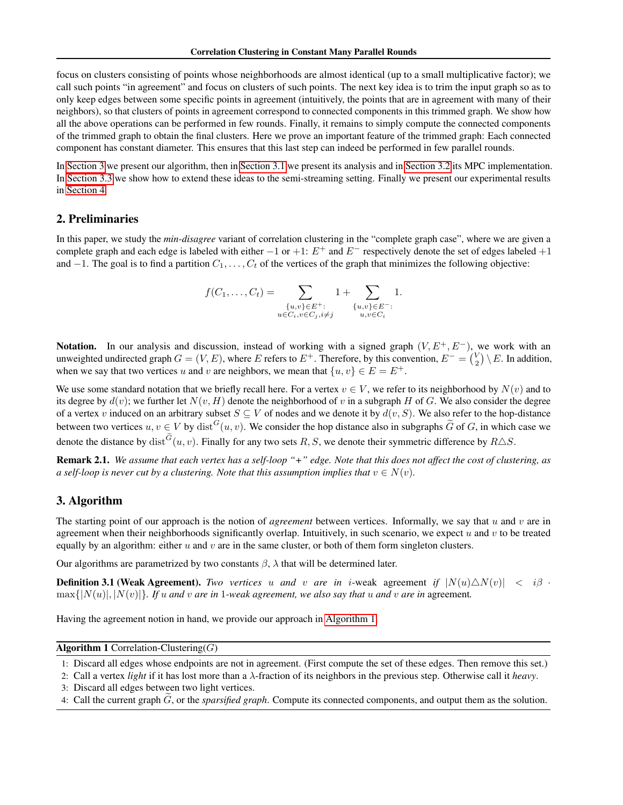focus on clusters consisting of points whose neighborhoods are almost identical (up to a small multiplicative factor); we call such points "in agreement" and focus on clusters of such points. The next key idea is to trim the input graph so as to only keep edges between some specific points in agreement (intuitively, the points that are in agreement with many of their neighbors), so that clusters of points in agreement correspond to connected components in this trimmed graph. We show how all the above operations can be performed in few rounds. Finally, it remains to simply compute the connected components of the trimmed graph to obtain the final clusters. Here we prove an important feature of the trimmed graph: Each connected component has constant diameter. This ensures that this last step can indeed be performed in few parallel rounds.

In [Section 3](#page-2-0) we present our algorithm, then in [Section 3.1](#page-3-0) we present its analysis and in [Section 3.2](#page-8-0) its MPC implementation. In [Section 3.3](#page-10-0) we show how to extend these ideas to the semi-streaming setting. Finally we present our experimental results in [Section 4.](#page-11-0)

### <span id="page-2-6"></span>2. Preliminaries

In this paper, we study the *min-disagree* variant of correlation clustering in the "complete graph case", where we are given a complete graph and each edge is labeled with either  $-1$  or  $+1$ :  $E^+$  and  $E^-$  respectively denote the set of edges labeled  $+1$ and  $-1$ . The goal is to find a partition  $C_1, \ldots, C_t$  of the vertices of the graph that minimizes the following objective:

<span id="page-2-4"></span>
$$
f(C_1, ..., C_t) = \sum_{\substack{\{u,v\} \in E^+:\\ u \in C_i, v \in C_j, i \neq j}} 1 + \sum_{\substack{\{u,v\} \in E^-:\\ u, v \in C_i}} 1.
$$

Notation. In our analysis and discussion, instead of working with a signed graph  $(V, E^+, E^-)$ , we work with an unweighted undirected graph  $G = (V, E)$ , where E refers to  $E^+$ . Therefore, by this convention,  $E^- = {V \choose 2} \setminus E$ . In addition, when we say that two vertices u and v are neighbors, we mean that  $\{u, v\} \in E = E^+$ .

We use some standard notation that we briefly recall here. For a vertex  $v \in V$ , we refer to its neighborhood by  $N(v)$  and to its degree by  $d(v)$ ; we further let  $N(v, H)$  denote the neighborhood of v in a subgraph H of G. We also consider the degree of a vertex v induced on an arbitrary subset  $S \subseteq V$  of nodes and we denote it by  $d(v, S)$ . We also refer to the hop-distance between two vertices  $u, v \in V$  by  $dist^G(u, v)$ . We consider the hop distance also in subgraphs  $\tilde{G}$  of G, in which case we denote the distance by  $dist^G(u, v)$ . Finally for any two sets R, S, we denote their symmetric difference by  $R\triangle S$ .

Remark 2.1. *We assume that each vertex has a self-loop "+" edge. Note that this does not affect the cost of clustering, as a self-loop is never cut by a clustering. Note that this assumption implies that*  $v \in N(v)$ .

### <span id="page-2-0"></span>3. Algorithm

The starting point of our approach is the notion of *agreement* between vertices. Informally, we say that u and v are in agreement when their neighborhoods significantly overlap. Intuitively, in such scenario, we expect  $u$  and  $v$  to be treated equally by an algorithm: either  $u$  and  $v$  are in the same cluster, or both of them form singleton clusters.

Our algorithms are parametrized by two constants  $\beta$ ,  $\lambda$  that will be determined later.

**Definition 3.1 (Weak Agreement).** *Two vertices* u *and* v *are in i*-weak agreement *if*  $|N(u)\triangle N(v)| < i\beta$ .  $\max\{|N(u)|, |N(v)|\}$ . If u and v are in 1-weak agreement, we also say that u and v are in agreement.

Having the agreement notion in hand, we provide our approach in [Algorithm 1.](#page-2-1)

### <span id="page-2-1"></span>Algorithm 1 Correlation-Clustering( $G$ )

- 1: Discard all edges whose endpoints are not in agreement. (First compute the set of these edges. Then remove this set.)
- <span id="page-2-5"></span><span id="page-2-3"></span><span id="page-2-2"></span>2: Call a vertex *light* if it has lost more than a λ-fraction of its neighbors in the previous step. Otherwise call it *heavy*.
- 3: Discard all edges between two light vertices.
- <span id="page-2-7"></span>4: Call the current graph G, or the *sparsified graph*. Compute its connected components, and output them as the solution.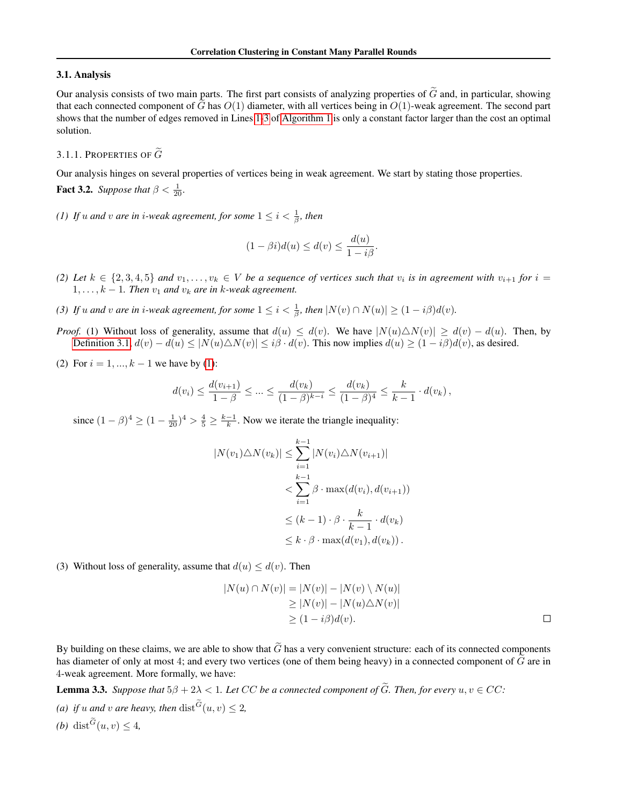#### <span id="page-3-0"></span>3.1. Analysis

Our analysis consists of two main parts. The first part consists of analyzing properties of  $\tilde{G}$  and, in particular, showing that each connected component of  $\tilde{G}$  has  $O(1)$  diameter, with all vertices being in  $O(1)$ -weak agreement. The second part shows that the number of edges removed in Lines [1](#page-2-2)[-3](#page-2-3) of [Algorithm 1](#page-2-1) is only a constant factor larger than the cost an optimal solution.

#### 3.1.1. PROPERTIES OF  $\tilde{G}$

Our analysis hinges on several properties of vertices being in weak agreement. We start by stating those properties. **Fact 3.2.** *Suppose that*  $\beta < \frac{1}{20}$ *.* 

<span id="page-3-1"></span>*(1) If*  $u$  *and*  $v$  *are in i-weak agreement, for some*  $1 \leq i < \frac{1}{\beta}$ *, then* 

<span id="page-3-2"></span>
$$
(1 - \beta i)d(u) \le d(v) \le \frac{d(u)}{1 - i\beta}.
$$

- <span id="page-3-3"></span>(2) Let  $k \in \{2,3,4,5\}$  and  $v_1,\ldots,v_k \in V$  be a sequence of vertices such that  $v_i$  is in agreement with  $v_{i+1}$  for  $i =$  $1, \ldots, k-1$ . Then  $v_1$  and  $v_k$  are in k-weak agreement.
- <span id="page-3-4"></span>*(3) If u* and *v* are in *i*-weak agreement, for some  $1 \leq i < \frac{1}{\beta}$ , then  $|N(v) \cap N(u)| \geq (1 - i\beta)d(v)$ .
- *Proof.* (1) Without loss of generality, assume that  $d(u) \leq d(v)$ . We have  $|N(u)\triangle N(v)| \geq d(v) d(u)$ . Then, by [Definition 3.1,](#page-2-4)  $d(v) - d(u) \leq |N(u)\triangle N(v)| \leq i\beta \cdot d(v)$ . This now implies  $d(u) \geq (1 - i\beta)d(v)$ , as desired.
- (2) For  $i = 1, ..., k 1$  we have by [\(1\)](#page-3-1):

$$
d(v_i) \le \frac{d(v_{i+1})}{1-\beta} \le \dots \le \frac{d(v_k)}{(1-\beta)^{k-i}} \le \frac{d(v_k)}{(1-\beta)^4} \le \frac{k}{k-1} \cdot d(v_k),
$$

since  $(1 - \beta)^4 \ge (1 - \frac{1}{20})^4 > \frac{4}{5} \ge \frac{k-1}{k}$ . Now we iterate the triangle inequality:

$$
|N(v_1)\triangle N(v_k)| \leq \sum_{i=1}^{k-1} |N(v_i)\triangle N(v_{i+1})|
$$
  

$$
< \sum_{i=1}^{k-1} \beta \cdot \max(d(v_i), d(v_{i+1}))
$$
  

$$
\leq (k-1) \cdot \beta \cdot \frac{k}{k-1} \cdot d(v_k)
$$
  

$$
\leq k \cdot \beta \cdot \max(d(v_1), d(v_k)).
$$

(3) Without loss of generality, assume that  $d(u) \leq d(v)$ . Then

$$
|N(u) \cap N(v)| = |N(v)| - |N(v) \setminus N(u)|
$$
  
\n
$$
\geq |N(v)| - |N(u) \triangle N(v)|
$$
  
\n
$$
\geq (1 - i\beta)d(v).
$$

By building on these claims, we are able to show that  $\tilde{G}$  has a very convenient structure: each of its connected components has diameter of only at most 4; and every two vertices (one of them being heavy) in a connected component of  $\tilde{G}$  are in 4-weak agreement. More formally, we have:

<span id="page-3-5"></span>**Lemma 3.3.** *Suppose that*  $5\beta + 2\lambda < 1$ *. Let* CC *be a connected component of*  $\tilde{G}$ *. Then, for every*  $u, v \in CC$ *:* 

- (a) *if* u and v are heavy, then  $dist^G(u, v) \leq 2$ ,
- (*b*) dist<sup> $G$ </sup> $(u, v) \leq 4$ ,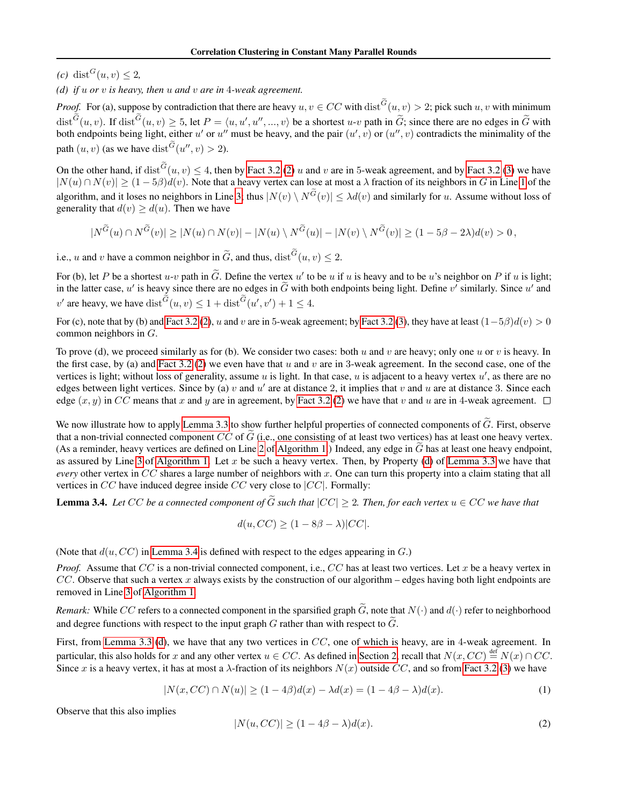$(c)$  dist<sup> $G$ </sup> $(u, v) \leq 2$ ,

<span id="page-4-0"></span>*(d) if* u *or* v *is heavy, then* u *and* v *are in* 4*-weak agreement.*

*Proof.* For (a), suppose by contradiction that there are heavy  $u, v \in CC$  with  $dist^G(u, v) > 2$ ; pick such  $u, v$  with minimum  $dist^G(u, v)$ . If  $dist^G(u, v) \ge 5$ , let  $P = \langle u, u', u'', ..., v \rangle$  be a shortest  $u$ -v path in  $\widetilde{G}$ ; since there are no edges in  $\widetilde{G}$  with both endpoints being light, either u' or u'' must be heavy, and the pair  $(u', v)$  or  $(u'', v)$  contradicts the minimality of the path  $(u, v)$  (as we have  $dist^G(u'', v) > 2$ ).

On the other hand, if  $dist^G(u, v) \le 4$ , then by [Fact 3.2](#page-3-2) [\(2\)](#page-3-3) u and v are in 5-weak agreement, and by Fact 3.2 [\(3\)](#page-3-4) we have  $|N(u) \cap N(v)| \ge (1-5\beta)d(v)$ . Note that a heavy vertex can lose at most a  $\lambda$  fraction of its neighbors in G in Line [1](#page-2-2) of the algorithm, and it loses no neighbors in Line [3;](#page-2-3) thus  $|N(v) \setminus N^G(v)| \leq \lambda d(v)$  and similarly for u. Assume without loss of generality that  $d(v) \geq d(u)$ . Then we have

$$
|N^{\widetilde{G}}(u) \cap N^{\widetilde{G}}(v)| \geq |N(u) \cap N(v)| - |N(u) \setminus N^{\widetilde{G}}(u)| - |N(v) \setminus N^{\widetilde{G}}(v)| \geq (1 - 5\beta - 2\lambda)d(v) > 0,
$$

i.e., u and v have a common neighbor in  $\tilde{G}$ , and thus,  $dist^G(u, v) \leq 2$ .

For (b), let P be a shortest  $u \cdot v$  path in  $\tilde{G}$ . Define the vertex u' to be u if u is heavy and to be u's neighbor on P if u is light; in the latter case, u' is heavy since there are no edges in  $\tilde{G}$  with both endpoints being light. Define v' similarly. Since u' and v' are heavy, we have  $dist^G(u, v) \leq 1 + dist^G(u', v') + 1 \leq 4$ .

For (c), note that by (b) and [Fact 3.2](#page-3-2) [\(2\)](#page-3-3), u and v are in 5-weak agreement; by Fact 3.2 [\(3\)](#page-3-4), they have at least  $(1-5\beta)d(v) > 0$ common neighbors in G.

To prove (d), we proceed similarly as for (b). We consider two cases: both u and v are heavy; only one u or v is heavy. In the first case, by (a) and [Fact 3.2](#page-3-2) [\(2\)](#page-3-3) we even have that u and v are in 3-weak agreement. In the second case, one of the vertices is light; without loss of generality, assume  $u$  is light. In that case,  $u$  is adjacent to a heavy vertex  $u'$ , as there are no edges between light vertices. Since by (a)  $v$  and  $u'$  are at distance 2, it implies that  $v$  and  $u$  are at distance 3. Since each edge  $(x, y)$  in CC means that x and y are in agreement, by [Fact 3.2](#page-3-2) [\(2\)](#page-3-3) we have that v and u are in 4-weak agreement.  $\Box$ 

We now illustrate how to apply [Lemma 3.3](#page-3-5) to show further helpful properties of connected components of  $\tilde{G}$ . First, observe that a non-trivial connected component  $CC$  of  $G$  (i.e., one consisting of at least two vertices) has at least one heavy vertex. (As a reminder, heavy vertices are defined on Line [2](#page-2-5) of [Algorithm 1.](#page-2-1)) Indeed, any edge in  $\tilde{G}$  has at least one heavy endpoint, as assured by Line [3](#page-2-3) of [Algorithm 1.](#page-2-1) Let x be such a heavy vertex. Then, by Property [\(d\)](#page-4-0) of [Lemma 3.3](#page-3-5) we have that *every* other vertex in CC shares a large number of neighbors with x. One can turn this property into a claim stating that all vertices in  $CC$  have induced degree inside  $CC$  very close to  $|CC|$ . Formally:

<span id="page-4-1"></span>**Lemma 3.4.** Let CC be a connected component of  $\tilde{G}$  such that  $|CC| \geq 2$ . Then, for each vertex  $u \in CC$  we have that

$$
d(u, CC) \ge (1 - 8\beta - \lambda)|CC|.
$$

(Note that  $d(u, CC)$  in [Lemma 3.4](#page-4-1) is defined with respect to the edges appearing in  $G$ .)

*Proof.* Assume that CC is a non-trivial connected component, i.e., CC has at least two vertices. Let x be a heavy vertex in CC. Observe that such a vertex x always exists by the construction of our algorithm – edges having both light endpoints are removed in Line [3](#page-2-3) of [Algorithm 1.](#page-2-1)

*Remark:* While CC refers to a connected component in the sparsified graph  $\tilde{G}$ , note that  $N(\cdot)$  and  $d(\cdot)$  refer to neighborhood and degree functions with respect to the input graph G rather than with respect to  $\tilde{G}$ .

First, from [Lemma 3.3](#page-3-5) [\(d\)](#page-4-0), we have that any two vertices in CC, one of which is heavy, are in 4-weak agreement. In particular, this also holds for x and any other vertex  $u \in CC$ . As defined in [Section 2,](#page-2-6) recall that  $N(x, CC) \stackrel{\text{def}}{=} N(x) \cap CC$ . Since x is a heavy vertex, it has at most a  $\lambda$ -fraction of its neighbors  $N(x)$  outside CC, and so from [Fact 3.2](#page-3-2) [\(3\)](#page-3-4) we have

<span id="page-4-3"></span>
$$
|N(x, CC) \cap N(u)| \ge (1 - 4\beta)d(x) - \lambda d(x) = (1 - 4\beta - \lambda)d(x). \tag{1}
$$

Observe that this also implies

<span id="page-4-2"></span>
$$
|N(u, CC)| \ge (1 - 4\beta - \lambda)d(x). \tag{2}
$$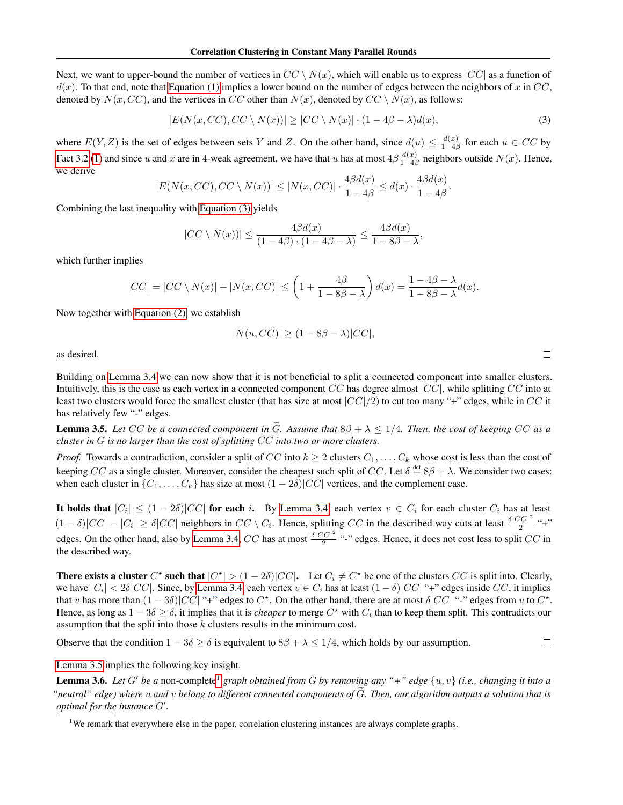Next, we want to upper-bound the number of vertices in  $CC \setminus N(x)$ , which will enable us to express  $|CC|$  as a function of  $d(x)$ . To that end, note that [Equation \(1\)](#page-4-2) implies a lower bound on the number of edges between the neighbors of x in CC, denoted by  $N(x, CC)$ , and the vertices in CC other than  $N(x)$ , denoted by  $CC \setminus N(x)$ , as follows:

$$
|E(N(x, CC), CC \setminus N(x))| \ge |CC \setminus N(x)| \cdot (1 - 4\beta - \lambda)d(x), \tag{3}
$$

where  $E(Y, Z)$  is the set of edges between sets Y and Z. On the other hand, since  $d(u) \leq \frac{d(x)}{1 - 4a}$  $\frac{d(x)}{1-4\beta}$  for each  $u \in CC$  by [Fact 3.2](#page-3-2) [\(1\)](#page-3-1) and since u and x are in 4-weak agreement, we have that u has at most  $4\beta \frac{d(x)}{1-\beta}$  $\frac{a(x)}{1-4\beta}$  neighbors outside  $N(x)$ . Hence, we derive

$$
|E(N(x, CC), CC \setminus N(x))| \leq |N(x, CC)| \cdot \frac{4\beta d(x)}{1 - 4\beta} \leq d(x) \cdot \frac{4\beta d(x)}{1 - 4\beta}.
$$

Combining the last inequality with [Equation \(3\)](#page-5-0) yields

$$
|CC \setminus N(x))| \le \frac{4\beta d(x)}{(1-4\beta) \cdot (1-4\beta-\lambda)} \le \frac{4\beta d(x)}{1-8\beta-\lambda},
$$

which further implies

$$
|CC| = |CC \setminus N(x)| + |N(x, CC)| \le \left(1 + \frac{4\beta}{1 - 8\beta - \lambda}\right)d(x) = \frac{1 - 4\beta - \lambda}{1 - 8\beta - \lambda}d(x).
$$

Now together with [Equation \(2\),](#page-4-3) we establish

$$
|N(u, CC)| \ge (1 - 8\beta - \lambda)|CC|,
$$

as desired.

Building on [Lemma 3.4](#page-4-1) we can now show that it is not beneficial to split a connected component into smaller clusters. Intuitively, this is the case as each vertex in a connected component  $CC$  has degree almost  $|CC|$ , while splitting  $CC$  into at least two clusters would force the smallest cluster (that has size at most  $|CC|/2$ ) to cut too many "+" edges, while in CC it has relatively few "-" edges.

<span id="page-5-1"></span>**Lemma 3.5.** Let CC be a connected component in  $\tilde{G}$ . Assume that  $8\beta + \lambda \leq 1/4$ . Then, the cost of keeping CC as a *cluster in* G *is no larger than the cost of splitting* CC *into two or more clusters.*

*Proof.* Towards a contradiction, consider a split of CC into  $k \geq 2$  clusters  $C_1, \ldots, C_k$  whose cost is less than the cost of keeping CC as a single cluster. Moreover, consider the cheapest such split of CC. Let  $\delta \stackrel{\text{def}}{=} 8\beta + \lambda$ . We consider two cases: when each cluster in  $\{C_1, \ldots, C_k\}$  has size at most  $(1 - 2\delta)|CC|$  vertices, and the complement case.

It holds that  $|C_i| \le (1-2\delta)|CC|$  for each i. By [Lemma 3.4,](#page-4-1) each vertex  $v \in C_i$  for each cluster  $C_i$  has at least  $(1 - \delta)|CC| - |C_i| \ge \delta|CC|$  neighbors in  $CC \setminus C_i$ . Hence, splitting CC in the described way cuts at least  $\frac{\delta|CC|^2}{2}$  $\frac{1}{2}$  "+" edges. On the other hand, also by [Lemma 3.4,](#page-4-1) CC has at most  $\frac{\delta|CC|^2}{2}$  $\frac{2C}{2}$  "-" edges. Hence, it does not cost less to split  $CC$  in the described way.

**There exists a cluster**  $C^*$  such that  $|C^*| > (1 - 2\delta)|CC|$ . Let  $C_i \neq C^*$  be one of the clusters  $CC$  is split into. Clearly, we have  $|C_i| < 2\delta |CC|$ . Since, by [Lemma 3.4,](#page-4-1) each vertex  $v \in C_i$  has at least  $(1-\delta)|CC|$  "+" edges inside  $CC$ , it implies that v has more than  $(1-3\delta)|CC|$  "+" edges to  $C^*$ . On the other hand, there are at most  $\delta|CC|$  "-" edges from v to  $C^*$ . Hence, as long as  $1-3\delta \geq \delta$ , it implies that it is *cheaper* to merge  $C^*$  with  $C_i$  than to keep them split. This contradicts our assumption that the split into those k clusters results in the minimum cost.

Observe that the condition  $1 - 3\delta \ge \delta$  is equivalent to  $8\beta + \lambda \le 1/4$ , which holds by our assumption.

[Lemma 3.5](#page-5-1) implies the following key insight.

<span id="page-5-3"></span>**Lemma 3.6.** Let G' be a non-complete<sup>[1](#page-5-2)</sup> graph obtained from G by removing any "+" edge  $\{u, v\}$  (i.e., changing it into a "neutral" edge) where u and v belong to different connected components of  $\widetilde{G}$ . Then, our algorithm outputs a solution that is *optimal for the instance*  $G'$ .

<span id="page-5-0"></span> $\Box$ 

 $\Box$ 

<span id="page-5-2"></span><sup>&</sup>lt;sup>1</sup>We remark that everywhere else in the paper, correlation clustering instances are always complete graphs.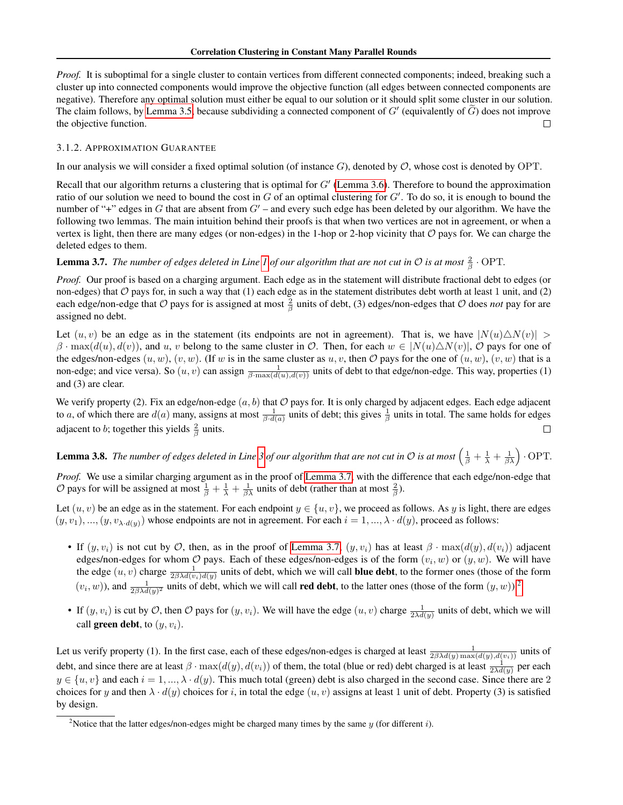*Proof.* It is suboptimal for a single cluster to contain vertices from different connected components; indeed, breaking such a cluster up into connected components would improve the objective function (all edges between connected components are negative). Therefore any optimal solution must either be equal to our solution or it should split some cluster in our solution. The claim follows, by [Lemma 3.5,](#page-5-1) because subdividing a connected component of  $G'$  (equivalently of  $\tilde{G}$ ) does not improve the objective function.

#### <span id="page-6-3"></span>3.1.2. APPROXIMATION GUARANTEE

In our analysis we will consider a fixed optimal solution (of instance  $G$ ), denoted by  $\mathcal{O}$ , whose cost is denoted by OPT.

Recall that our algorithm returns a clustering that is optimal for  $G'$  [\(Lemma 3.6\)](#page-5-3). Therefore to bound the approximation ratio of our solution we need to bound the cost in  $G$  of an optimal clustering for  $G'$ . To do so, it is enough to bound the number of "+" edges in G that are absent from  $G'$  – and every such edge has been deleted by our algorithm. We have the following two lemmas. The main intuition behind their proofs is that when two vertices are not in agreement, or when a vertex is light, then there are many edges (or non-edges) in the 1-hop or 2-hop vicinity that  $O$  pays for. We can charge the deleted edges to them.

<span id="page-6-0"></span>**Lemma 3.7.** *The number of edges deleted in Line [1](#page-2-2) of our algorithm that are not cut in*  $O$  *is at most*  $\frac{2}{\beta} \cdot \text{OPT}$ .

*Proof.* Our proof is based on a charging argument. Each edge as in the statement will distribute fractional debt to edges (or non-edges) that  $\mathcal O$  pays for, in such a way that (1) each edge as in the statement distributes debt worth at least 1 unit, and (2) each edge/non-edge that  $O$  pays for is assigned at most  $\frac{2}{\beta}$  units of debt, (3) edges/non-edges that  $O$  does *not* pay for are assigned no debt.

Let  $(u, v)$  be an edge as in the statement (its endpoints are not in agreement). That is, we have  $|N(u)\triangle N(v)| >$  $\beta$  · max $(d(u), d(v))$ , and u, v belong to the same cluster in O. Then, for each  $w \in |N(u)\triangle N(v)|$ , O pays for one of the edges/non-edges  $(u, w)$ ,  $(v, w)$ . (If w is in the same cluster as  $u, v$ , then  $\mathcal O$  pays for the one of  $(u, w)$ ,  $(v, w)$  that is a non-edge; and vice versa). So  $(u, v)$  can assign  $\frac{1}{\beta \cdot \max(d(u), d(v))}$  units of debt to that edge/non-edge. This way, properties (1) and (3) are clear.

We verify property (2). Fix an edge/non-edge  $(a, b)$  that  $\mathcal O$  pays for. It is only charged by adjacent edges. Each edge adjacent to a, of which there are  $d(a)$  many, assigns at most  $\frac{1}{\beta \cdot d(a)}$  units of debt; this gives  $\frac{1}{\beta}$  units in total. The same holds for edges adjacent to *b*; together this yields  $\frac{2}{\beta}$  units.  $\Box$ 

<span id="page-6-2"></span>**Lemma [3](#page-2-3).8.** The number of edges deleted in Line 3 of our algorithm that are not cut in  $\mathcal O$  is at most  $\left(\frac{1}{\beta}+\frac{1}{\lambda}+\frac{1}{\beta\lambda}\right)$   $\cdot$  OPT.

*Proof.* We use a similar charging argument as in the proof of [Lemma 3.7,](#page-6-0) with the difference that each edge/non-edge that O pays for will be assigned at most  $\frac{1}{\beta} + \frac{1}{\lambda} + \frac{1}{\beta \lambda}$  units of debt (rather than at most  $\frac{2}{\beta}$ ).

Let  $(u, v)$  be an edge as in the statement. For each endpoint  $y \in \{u, v\}$ , we proceed as follows. As y is light, there are edges  $(y, v_1), ..., (y, v_{\lambda \cdot d(y)})$  whose endpoints are not in agreement. For each  $i = 1, ..., \lambda \cdot d(y)$ , proceed as follows:

- If  $(y, v_i)$  is not cut by O, then, as in the proof of [Lemma 3.7,](#page-6-0)  $(y, v_i)$  has at least  $\beta \cdot \max(d(y), d(v_i))$  adjacent edges/non-edges for whom  $O$  pays. Each of these edges/non-edges is of the form  $(v_i, w)$  or  $(y, w)$ . We will have the edge  $(u, v)$  charge  $\frac{1}{2\beta\lambda d(v_i)d(y)}$  units of debt, which we will call **blue debt**, to the former ones (those of the form  $(v_i, w)$ ), and  $\frac{1}{2\beta\lambda d(y)^2}$  $\frac{1}{2\beta\lambda d(y)^2}$  $\frac{1}{2\beta\lambda d(y)^2}$  units of debt, which we will call **red debt**, to the latter ones (those of the form  $(y, w)$ ).<sup>2</sup>
- If  $(y, v_i)$  is cut by O, then O pays for  $(y, v_i)$ . We will have the edge  $(u, v)$  charge  $\frac{1}{2\lambda d(y)}$  units of debt, which we will call **green debt**, to  $(y, v_i)$ .

Let us verify property (1). In the first case, each of these edges/non-edges is charged at least  $\frac{1}{2\beta\lambda d(y)\max(d(y),d(v_i))}$  units of debt, and since there are at least  $\beta \cdot \max(d(y), d(v_i))$  of them, the total (blue or red) debt charged is at least  $\frac{1}{2\lambda d(y)}$  per each  $y \in \{u, v\}$  and each  $i = 1, ..., \lambda \cdot d(y)$ . This much total (green) debt is also charged in the second case. Since there are 2 choices for y and then  $\lambda \cdot d(y)$  choices for i, in total the edge  $(u, v)$  assigns at least 1 unit of debt. Property (3) is satisfied by design.

<span id="page-6-1"></span><sup>&</sup>lt;sup>2</sup>Notice that the latter edges/non-edges might be charged many times by the same  $y$  (for different i).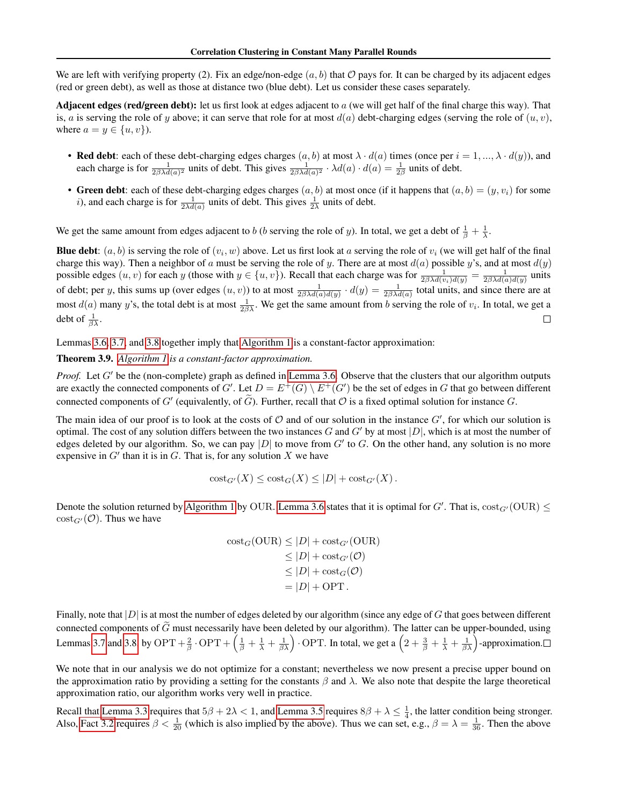We are left with verifying property (2). Fix an edge/non-edge  $(a, b)$  that O pays for. It can be charged by its adjacent edges (red or green debt), as well as those at distance two (blue debt). Let us consider these cases separately.

Adjacent edges (red/green debt): let us first look at edges adjacent to  $a$  (we will get half of the final charge this way). That is, a is serving the role of y above; it can serve that role for at most  $d(a)$  debt-charging edges (serving the role of  $(u, v)$ , where  $a = y \in \{u, v\}$ ).

- Red debt: each of these debt-charging edges charges  $(a, b)$  at most  $\lambda \cdot d(a)$  times (once per  $i = 1, ..., \lambda \cdot d(y)$ ), and each charge is for  $\frac{1}{2\beta\lambda d(a)^2}$  units of debt. This gives  $\frac{1}{2\beta\lambda d(a)^2} \cdot \lambda d(a) \cdot d(a) = \frac{1}{2\beta}$  units of debt.
- Green debt: each of these debt-charging edges charges  $(a, b)$  at most once (if it happens that  $(a, b) = (y, v_i)$  for some *i*), and each charge is for  $\frac{1}{2\lambda d(a)}$  units of debt. This gives  $\frac{1}{2\lambda}$  units of debt.

We get the same amount from edges adjacent to b (b serving the role of y). In total, we get a debt of  $\frac{1}{\beta} + \frac{1}{\lambda}$ .

**Blue debt**:  $(a, b)$  is serving the role of  $(v_i, w)$  above. Let us first look at a serving the role of  $v_i$  (we will get half of the final charge this way). Then a neighbor of a must be serving the role of y. There are at most  $d(a)$  possible y's, and at most  $d(y)$ possible edges  $(u, v)$  for each y (those with  $y \in \{u, v\}$ ). Recall that each charge was for  $\frac{1}{2\beta \lambda d(v_i)d(y)} = \frac{1}{2\beta \lambda d(a_d)d(y)}$  units of debt; per y, this sums up (over edges  $(u, v)$ ) to at most  $\frac{1}{2\beta\lambda d(a)d(y)} \cdot d(y) = \frac{1}{2\beta\lambda d(a)}$  total units, and since there are at most  $d(a)$  many y's, the total debt is at most  $\frac{1}{2\beta\lambda}$ . We get the same amount from b serving the role of  $v_i$ . In total, we get a debt of  $\frac{1}{\beta \lambda}$ .  $\Box$ 

Lemmas [3.6,](#page-5-3) [3.7,](#page-6-0) and [3.8](#page-6-2) together imply that [Algorithm 1](#page-2-1) is a constant-factor approximation:

<span id="page-7-0"></span>Theorem 3.9. *[Algorithm 1](#page-2-1) is a constant-factor approximation.*

*Proof.* Let  $G'$  be the (non-complete) graph as defined in [Lemma 3.6.](#page-5-3) Observe that the clusters that our algorithm outputs are exactly the connected components of G'. Let  $D = E^+(G) \setminus E^+(G')$  be the set of edges in G that go between different connected components of G' (equivalently, of  $\tilde{G}$ ). Further, recall that  $\mathcal O$  is a fixed optimal solution for instance G.

The main idea of our proof is to look at the costs of  $O$  and of our solution in the instance  $G'$ , for which our solution is optimal. The cost of any solution differs between the two instances G and G' by at most  $|D|$ , which is at most the number of edges deleted by our algorithm. So, we can pay  $|D|$  to move from  $G'$  to  $G$ . On the other hand, any solution is no more expensive in  $G'$  than it is in  $G$ . That is, for any solution  $X$  we have

$$
cost_{G'}(X) \leq cost_G(X) \leq |D| + cost_{G'}(X).
$$

Denote the solution returned by [Algorithm 1](#page-2-1) by OUR. [Lemma 3.6](#page-5-3) states that it is optimal for  $G'$ . That is,  $cost_{G'}(OUR) \le$  $\text{cost}_{G'}(\mathcal{O})$ . Thus we have

$$
\begin{aligned} \text{cost}_G(\text{OUR}) &\le |D| + \text{cost}_{G'}(\text{OUR}) \\ &\le |D| + \text{cost}_{G'}(\mathcal{O}) \\ &\le |D| + \text{cost}_G(\mathcal{O}) \\ &= |D| + \text{OPT} \,. \end{aligned}
$$

Finally, note that  $|D|$  is at most the number of edges deleted by our algorithm (since any edge of G that goes between different connected components of G must necessarily have been deleted by our algorithm). The latter can be upper-bounded, using Lemmas [3.7](#page-6-0) and [3.8,](#page-6-2) by OPT +  $\left(\frac{1}{\beta} + \frac{1}{\lambda} + \frac{1}{\beta \lambda}\right)$ . OPT. In total, we get a  $\left(2 + \frac{3}{\beta} + \frac{1}{\lambda} + \frac{1}{\beta \lambda}\right)$ -approximation.

We note that in our analysis we do not optimize for a constant; nevertheless we now present a precise upper bound on the approximation ratio by providing a setting for the constants  $\beta$  and  $\lambda$ . We also note that despite the large theoretical approximation ratio, our algorithm works very well in practice.

Recall that [Lemma 3.3](#page-3-5) requires that  $5\beta + 2\lambda < 1$ , and [Lemma 3.5](#page-5-1) requires  $8\beta + \lambda \leq \frac{1}{4}$ , the latter condition being stronger. Also, [Fact 3.2](#page-3-2) requires  $\beta < \frac{1}{20}$  (which is also implied by the above). Thus we can set, e.g.,  $\beta = \lambda = \frac{1}{36}$ . Then the above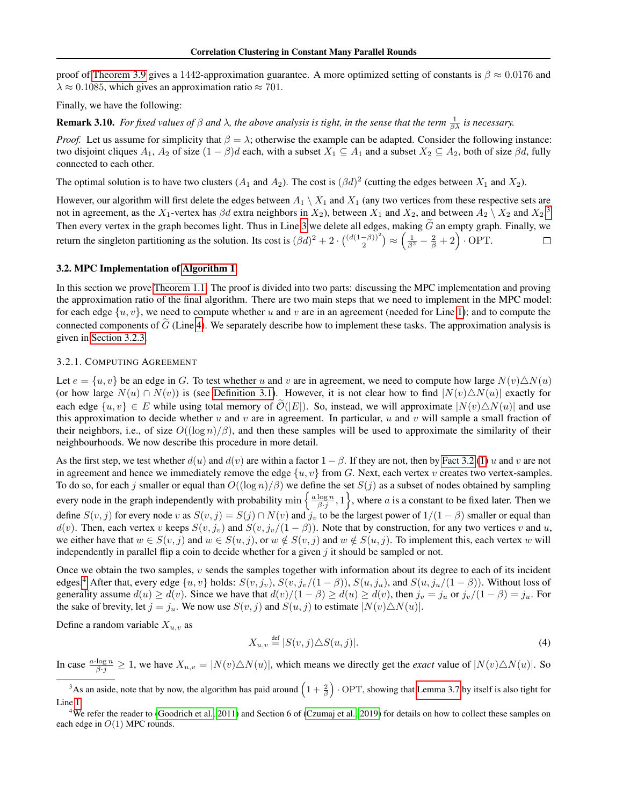proof of [Theorem 3.9](#page-7-0) gives a 1442-approximation guarantee. A more optimized setting of constants is  $\beta \approx 0.0176$  and  $\lambda \approx 0.1085$ , which gives an approximation ratio  $\approx 701$ .

Finally, we have the following:

**Remark 3.10.** *For fixed values of*  $\beta$  *and*  $\lambda$ , *the above analysis is tight, in the sense that the term*  $\frac{1}{\beta\lambda}$  *is necessary.* 

*Proof.* Let us assume for simplicity that  $\beta = \lambda$ ; otherwise the example can be adapted. Consider the following instance: two disjoint cliques  $A_1$ ,  $A_2$  of size  $(1 - \beta)d$  each, with a subset  $X_1 \subseteq A_1$  and a subset  $X_2 \subseteq A_2$ , both of size  $\beta d$ , fully connected to each other.

The optimal solution is to have two clusters  $(A_1$  and  $A_2$ ). The cost is  $(\beta d)^2$  (cutting the edges between  $X_1$  and  $X_2$ ).

However, our algorithm will first delete the edges between  $A_1 \setminus X_1$  and  $X_1$  (any two vertices from these respective sets are not in agreement, as the  $X_1$ -vertex has  $\beta d$  extra neighbors in  $X_2$ ), between  $X_1$  and  $X_2$ , and between  $A_2 \setminus X_2$  and  $X_2$ .<sup>[3](#page-8-1)</sup> Then every vertex in the graph becomes light. Thus in Line [3](#page-2-3) we delete all edges, making  $\tilde{G}$  an empty graph. Finally, we return the singleton partitioning as the solution. Its cost is  $(\beta d)^2 + 2 \cdot {(\alpha(1-\beta))^2 \choose 2} \approx (\frac{1}{\beta^2} - \frac{2}{\beta} + 2) \cdot \text{OPT}$ .  $\Box$ 

#### <span id="page-8-0"></span>3.2. MPC Implementation of [Algorithm 1](#page-2-1)

In this section we prove [Theorem 1.1.](#page-1-0) The proof is divided into two parts: discussing the MPC implementation and proving the approximation ratio of the final algorithm. There are two main steps that we need to implement in the MPC model: for each edge  $\{u, v\}$ , we need to compute whether u and v are in an agreement (needed for Line [1\)](#page-2-2); and to compute the connected components of  $\tilde{G}$  (Line [4\)](#page-2-7). We separately describe how to implement these tasks. The approximation analysis is given in [Section 3.2.3.](#page-10-1)

#### <span id="page-8-4"></span>3.2.1. COMPUTING AGREEMENT

Let  $e = \{u, v\}$  be an edge in G. To test whether u and v are in agreement, we need to compute how large  $N(v) \Delta N(u)$ (or how large  $N(u) \cap N(v)$ ) is (see [Definition 3.1\)](#page-2-4). However, it is not clear how to find  $|N(v)\triangle N(u)|$  exactly for each edge  $\{u, v\} \in E$  while using total memory of  $\tilde{\mathcal{O}}(|E|)$ . So, instead, we will approximate  $|N(v)\triangle N(u)|$  and use this approximation to decide whether u and v are in agreement. In particular, u and v will sample a small fraction of their neighbors, i.e., of size  $O((\log n)/\beta)$ , and then these samples will be used to approximate the similarity of their neighbourhoods. We now describe this procedure in more detail.

As the first step, we test whether  $d(u)$  and  $d(v)$  are within a factor  $1 - \beta$ . If they are not, then by [Fact 3.2](#page-3-2) [\(1\)](#page-3-1) u and v are not in agreement and hence we immediately remove the edge  $\{u, v\}$  from G. Next, each vertex v creates two vertex-samples. To do so, for each j smaller or equal than  $O((\log n)/\beta)$  we define the set  $S(j)$  as a subset of nodes obtained by sampling every node in the graph independently with probability  $\min\left\{\frac{a\log n}{\beta j},1\right\}$ , where a is a constant to be fixed later. Then we define  $S(v, j)$  for every node v as  $S(v, j) = S(j) \cap N(v)$  and  $j_v$  to be the largest power of  $1/(1 - \beta)$  smaller or equal than  $d(v)$ . Then, each vertex v keeps  $S(v, j_v)$  and  $S(v, j_v/(1 - \beta))$ . Note that by construction, for any two vertices v and u, we either have that  $w \in S(v, j)$  and  $w \in S(u, j)$ , or  $w \notin S(v, j)$  and  $w \notin S(u, j)$ . To implement this, each vertex w will independently in parallel flip a coin to decide whether for a given  $j$  it should be sampled or not.

Once we obtain the two samples,  $v$  sends the samples together with information about its degree to each of its incident edges.<sup>[4](#page-8-2)</sup> After that, every edge  $\{u, v\}$  holds:  $S(v, j_v), S(v, j_v/(1 - \beta)), S(u, j_u),$  and  $S(u, j_u/(1 - \beta)).$  Without loss of generality assume  $d(u) \ge d(v)$ . Since we have that  $d(v)/(1 - \beta) \ge d(u) \ge d(v)$ , then  $j_v = j_u$  or  $j_v/(1 - \beta) = j_u$ . For the sake of brevity, let  $j = j_u$ . We now use  $S(v, j)$  and  $S(u, j)$  to estimate  $|N(v) \triangle N(u)|$ .

Define a random variable  $X_{u,v}$  as

<span id="page-8-3"></span>
$$
X_{u,v} \stackrel{\text{def}}{=} |S(v,j) \triangle S(u,j)|. \tag{4}
$$

In case  $\frac{a \cdot \log n}{\beta \cdot j} \ge 1$ , we have  $X_{u,v} = |N(v) \triangle N(u)|$ , which means we directly get the *exact* value of  $|N(v) \triangle N(u)|$ . So

<span id="page-8-1"></span><sup>&</sup>lt;sup>3</sup>As an aside, note that by now, the algorithm has paid around  $(1+\frac{2}{\beta})$  · OPT, showing that [Lemma 3.7](#page-6-0) by itself is also tight for Line [1.](#page-2-2)

<span id="page-8-2"></span><sup>&</sup>lt;sup>4</sup>We refer the reader to [\(Goodrich et al., 2011\)](#page-16-17) and Section 6 of [\(Czumaj et al., 2019\)](#page-16-19) for details on how to collect these samples on each edge in  $O(1)$  MPC rounds.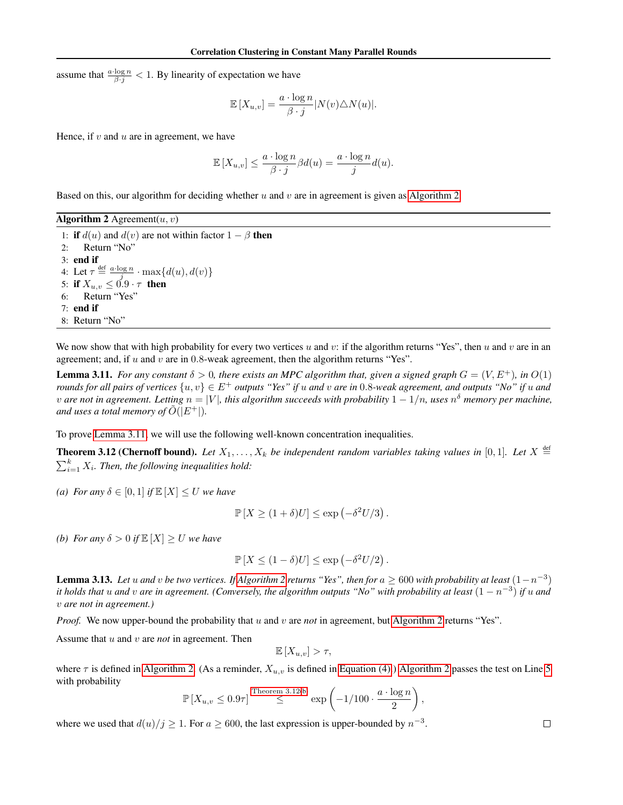assume that  $\frac{a \cdot \log n}{\beta \cdot j} < 1$ . By linearity of expectation we have

$$
\mathbb{E}[X_{u,v}] = \frac{a \cdot \log n}{\beta \cdot j} |N(v) \triangle N(u)|.
$$

Hence, if  $v$  and  $u$  are in agreement, we have

$$
\mathbb{E}[X_{u,v}] \le \frac{a \cdot \log n}{\beta \cdot j} \beta d(u) = \frac{a \cdot \log n}{j} d(u).
$$

Based on this, our algorithm for deciding whether  $u$  and  $v$  are in agreement is given as [Algorithm 2.](#page-9-0)

<span id="page-9-2"></span><span id="page-9-0"></span>Algorithm 2 Agreement $(u, v)$ 1: if  $d(u)$  and  $d(v)$  are not within factor  $1 - \beta$  then 2: Return "No" 3: end if 4: Let  $\tau \stackrel{\text{def}}{=} \frac{a \cdot \log n}{i} \cdot \max\{d(u), d(v)\}$ 5: if  $X_{u,v} \leq 0.9 \cdot \tau$  then 6: Return "Yes" 7: end if 8: Return "No"

We now show that with high probability for every two vertices u and v: if the algorithm returns "Yes", then u and v are in an agreement; and, if u and v are in  $0.8$ -weak agreement, then the algorithm returns "Yes".

<span id="page-9-1"></span>**Lemma 3.11.** *For any constant*  $\delta > 0$ *, there exists an MPC algorithm that, given a signed graph*  $G = (V, E^+)$ *, in*  $O(1)$ *rounds for all pairs of vertices*  $\{u, v\} \in E^+$  *outputs "Yes" if* u and v are in 0.8-weak agreement, and outputs "No" if u and  $v$  are not in agreement. Letting  $n=|V|$ , this algorithm succeeds with probability  $1-1/n$ , uses  $n^{\delta}$  memory per machine, *and uses a total memory of*  $\tilde{O}(|E^+|)$ *.* 

To prove [Lemma 3.11,](#page-9-1) we will use the following well-known concentration inequalities.

**Theorem 3.12 (Chernoff bound).** Let  $X_1, \ldots, X_k$  be independent random variables taking values in [0,1]. Let  $X \stackrel{\text{def}}{=}$  $\sum_{i=1}^{k} X_i$ . Then, the following inequalities hold:

<span id="page-9-5"></span>*(a) For any*  $\delta \in [0,1]$  *if*  $\mathbb{E}[X] \leq U$  *we have* 

<span id="page-9-3"></span>
$$
\mathbb{P}[X \ge (1+\delta)U] \le \exp(-\delta^2 U/3).
$$

<span id="page-9-4"></span>*(b) For any*  $\delta > 0$  *if*  $\mathbb{E}[X] \ge U$  *we have* 

$$
\mathbb{P}[X \le (1 - \delta)U] \le \exp(-\delta^2 U/2).
$$

<span id="page-9-6"></span>**Lemma 3.13.** Let u and v be two vertices. If [Algorithm 2](#page-9-0) returns "Yes", then for  $a \ge 600$  with probability at least  $(1-n^{-3})$ *it holds that* u *and* v *are in agreement. (Conversely, the algorithm outputs "No" with probability at least* (1 − n −3 ) *if* u *and* v *are not in agreement.)*

*Proof.* We now upper-bound the probability that u and v are *not* in agreement, but [Algorithm 2](#page-9-0) returns "Yes".

Assume that u and v are *not* in agreement. Then

$$
\mathbb{E}[X_{u,v}] > \tau,
$$

where  $\tau$  is defined in [Algorithm 2.](#page-9-0) (As a reminder,  $X_{u,v}$  is defined in [Equation \(4\).](#page-8-3)) [Algorithm 2](#page-9-0) passes the test on Line [5](#page-9-2) with probability

$$
\mathbb{P}\left[X_{u,v} \le 0.9\tau\right] \stackrel{\text{Theorem 3.12(b)}}{\le} \exp\left(-1/100 \cdot \frac{a \cdot \log n}{2}\right)
$$

,

<span id="page-9-7"></span>where we used that  $d(u)/j \geq 1$ . For  $a \geq 600$ , the last expression is upper-bounded by  $n^{-3}$ .

 $\Box$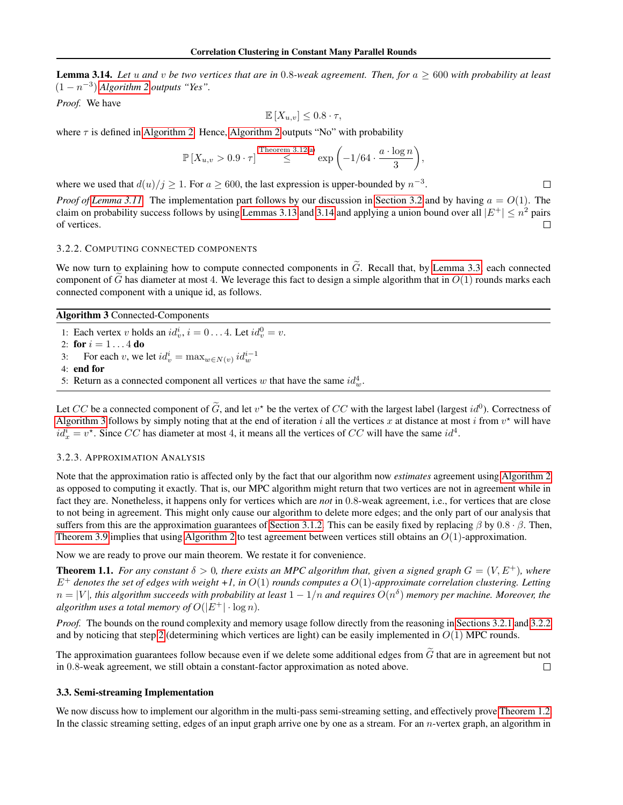Lemma 3.14. *Let* u *and* v *be two vertices that are in* 0.8*-weak agreement. Then, for* a ≥ 600 *with probability at least*  $(1 - n^{-3})$  *[Algorithm 2](#page-9-0) outputs "Yes".* 

*Proof.* We have

$$
\mathbb{E}\left[X_{u,v}\right] \leq 0.8 \cdot \tau,
$$

where  $\tau$  is defined in [Algorithm 2.](#page-9-0) Hence, [Algorithm 2](#page-9-0) outputs "No" with probability

$$
\mathbb{P}\left[X_{u,v} > 0.9 \cdot \tau\right] \stackrel{\text{Theorem 3.12(a)}}{\leq} \exp\left(-1/64 \cdot \frac{a \cdot \log n}{3}\right),
$$

where we used that  $d(u)/j \geq 1$ . For  $a \geq 600$ , the last expression is upper-bounded by  $n^{-3}$ .

*Proof of [Lemma 3.11.](#page-9-1)* The implementation part follows by our discussion in [Section 3.2](#page-8-0) and by having  $a = O(1)$ . The claim on probability success follows by using [Lemmas 3.13](#page-9-6) and [3.14](#page-9-7) and applying a union bound over all  $|E^+| \le n^2$  pairs of vertices.  $\Box$ 

#### <span id="page-10-3"></span>3.2.2. COMPUTING CONNECTED COMPONENTS

We now turn to explaining how to compute connected components in  $\tilde{G}$ . Recall that, by [Lemma 3.3,](#page-3-5) each connected component of G has diameter at most 4. We leverage this fact to design a simple algorithm that in  $O(1)$  rounds marks each connected component with a unique id, as follows.

<span id="page-10-2"></span>Algorithm 3 Connected-Components

- 1: Each vertex v holds an  $id_v^i$ ,  $i = 0...4$ . Let  $id_v^0 = v$ .
- 2: for  $i = 1...4$  do
- 3: For each v, we let  $id_v^i = \max_{w \in N(v)} id_w^{i-1}$

4: end for

5: Return as a connected component all vertices w that have the same  $id_w^4$ .

Let CC be a connected component of  $\tilde{G}$ , and let  $v^*$  be the vertex of CC with the largest label (largest  $id^0$ ). Correctness of [Algorithm 3](#page-10-2) follows by simply noting that at the end of iteration i all the vertices x at distance at most i from  $v^*$  will have  $id_x^i = v^*$ . Since CC has diameter at most 4, it means all the vertices of CC will have the same  $id^4$ .

#### <span id="page-10-1"></span>3.2.3. APPROXIMATION ANALYSIS

Note that the approximation ratio is affected only by the fact that our algorithm now *estimates* agreement using [Algorithm 2](#page-9-0) as opposed to computing it exactly. That is, our MPC algorithm might return that two vertices are not in agreement while in fact they are. Nonetheless, it happens only for vertices which are *not* in 0.8-weak agreement, i.e., for vertices that are close to not being in agreement. This might only cause our algorithm to delete more edges; and the only part of our analysis that suffers from this are the approximation guarantees of [Section 3.1.2.](#page-6-3) This can be easily fixed by replacing  $\beta$  by 0.8 ·  $\beta$ . Then, [Theorem 3.9](#page-7-0) implies that using [Algorithm 2](#page-9-0) to test agreement between vertices still obtains an  $O(1)$ -approximation.

Now we are ready to prove our main theorem. We restate it for convenience.

**Theorem 1.1.** For any constant  $\delta > 0$ , there exists an MPC algorithm that, given a signed graph  $G = (V, E^+)$ , where E<sup>+</sup> *denotes the set of edges with weight +1, in* O(1) *rounds computes a* O(1)*-approximate correlation clustering. Letting*  $n=|V|$ , this algorithm succeeds with probability at least  $1-1/n$  and requires  $O(n^\delta)$  memory per machine. Moreover, the *algorithm uses a total memory of*  $O(|E^+| \cdot \log n)$ *.* 

*Proof.* The bounds on the round complexity and memory usage follow directly from the reasoning in [Sections 3.2.1](#page-8-4) and [3.2.2](#page-10-3) and by noticing that step [2](#page-2-5) (determining which vertices are light) can be easily implemented in  $O(1)$  MPC rounds.

The approximation guarantees follow because even if we delete some additional edges from  $\tilde{G}$  that are in agreement but not in 0.8-weak agreement, we still obtain a constant-factor approximation as noted above. in 0.8-weak agreement, we still obtain a constant-factor approximation as noted above.

#### <span id="page-10-0"></span>3.3. Semi-streaming Implementation

We now discuss how to implement our algorithm in the multi-pass semi-streaming setting, and effectively prove [Theorem 1.2.](#page-1-1) In the classic streaming setting, edges of an input graph arrive one by one as a stream. For an *n*-vertex graph, an algorithm in

 $\Box$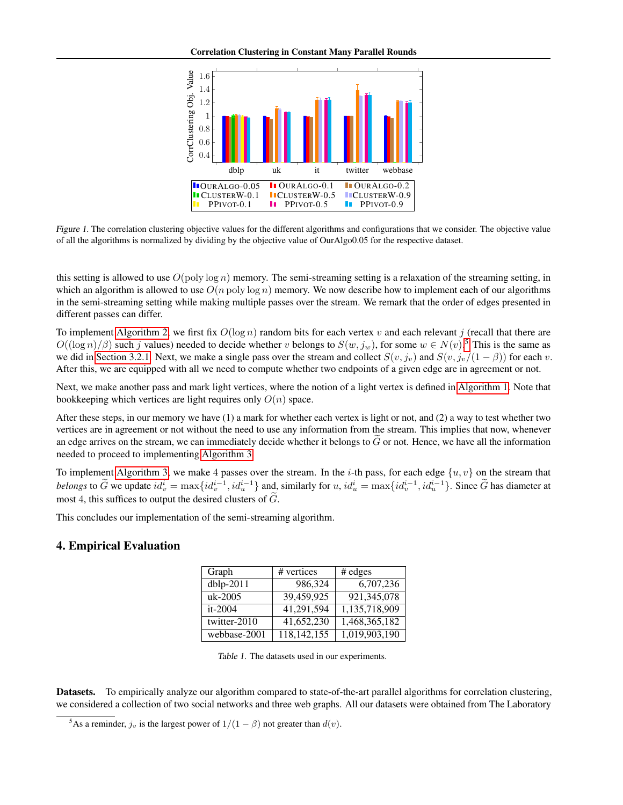<span id="page-11-3"></span>

Figure 1. The correlation clustering objective values for the different algorithms and configurations that we consider. The objective value of all the algorithms is normalized by dividing by the objective value of OurAlgo0.05 for the respective dataset.

this setting is allowed to use  $O(\text{poly}\log n)$  memory. The semi-streaming setting is a relaxation of the streaming setting, in which an algorithm is allowed to use  $O(n \text{ poly} \log n)$  memory. We now describe how to implement each of our algorithms in the semi-streaming setting while making multiple passes over the stream. We remark that the order of edges presented in different passes can differ.

To implement [Algorithm 2,](#page-9-0) we first fix  $O(\log n)$  random bits for each vertex v and each relevant j (recall that there are  $O((\log n)/\beta)$  such j values) needed to decide whether v belongs to  $S(w, j_w)$ , for some  $w \in N(v)$ .<sup>[5](#page-11-1)</sup> This is the same as we did in [Section 3.2.1.](#page-8-4) Next, we make a single pass over the stream and collect  $S(v, j_v)$  and  $S(v, j_v/(1 - \beta))$  for each v. After this, we are equipped with all we need to compute whether two endpoints of a given edge are in agreement or not.

Next, we make another pass and mark light vertices, where the notion of a light vertex is defined in [Algorithm 1.](#page-2-1) Note that bookkeeping which vertices are light requires only  $O(n)$  space.

After these steps, in our memory we have (1) a mark for whether each vertex is light or not, and (2) a way to test whether two vertices are in agreement or not without the need to use any information from the stream. This implies that now, whenever an edge arrives on the stream, we can immediately decide whether it belongs to  $\tilde{G}$  or not. Hence, we have all the information needed to proceed to implementing [Algorithm 3.](#page-10-2)

To implement [Algorithm 3,](#page-10-2) we make 4 passes over the stream. In the *i*-th pass, for each edge  $\{u, v\}$  on the stream that *belongs* to  $\tilde{G}$  we update  $id_v^i = \max\{id_v^{i-1}, id_u^{i-1}\}$  and, similarly for  $u, id_u^i = \max\{id_v^{i-1}, id_u^{i-1}\}$ . Since  $\tilde{G}$  has diameter at most 4, this suffices to output the desired clusters of  $\tilde{G}$ .

This concludes our implementation of the semi-streaming algorithm.

### <span id="page-11-2"></span><span id="page-11-0"></span>4. Empirical Evaluation

| Graph        | # vertices  | # edges       |
|--------------|-------------|---------------|
| dblp-2011    | 986,324     | 6,707,236     |
| $uk-2005$    | 39,459,925  | 921,345,078   |
| $it-2004$    | 41,291,594  | 1,135,718,909 |
| twitter-2010 | 41,652,230  | 1,468,365,182 |
| webbase-2001 | 118,142,155 | 1,019,903,190 |

Table 1. The datasets used in our experiments.

Datasets. To empirically analyze our algorithm compared to state-of-the-art parallel algorithms for correlation clustering, we considered a collection of two social networks and three web graphs. All our datasets were obtained from The Laboratory

<span id="page-11-1"></span><sup>&</sup>lt;sup>5</sup>As a reminder,  $j_v$  is the largest power of  $1/(1 - \beta)$  not greater than  $d(v)$ .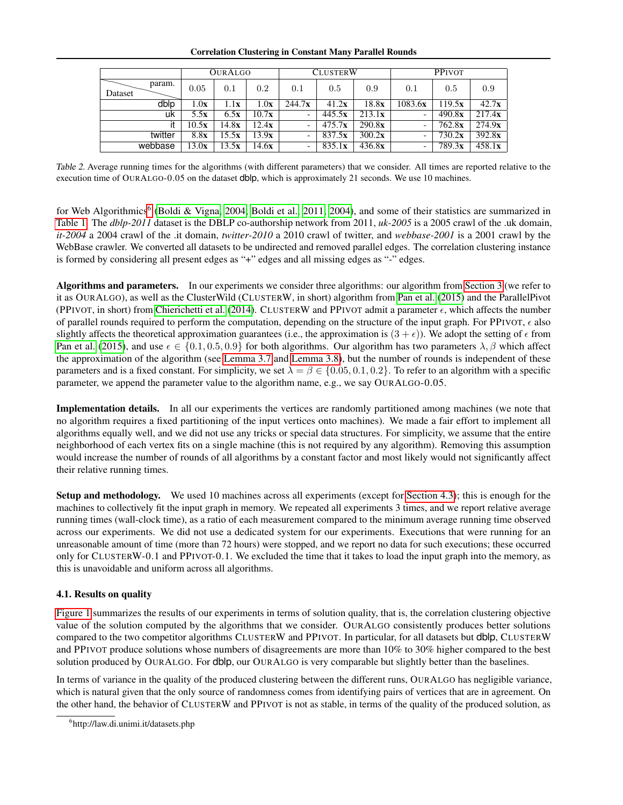#### Correlation Clustering in Constant Many Parallel Rounds

<span id="page-12-1"></span>

|                   | <b>OURALGO</b> |       |               | <b>CLUSTERW</b>          |        |        | <b>PPIVOT</b> |        |        |
|-------------------|----------------|-------|---------------|--------------------------|--------|--------|---------------|--------|--------|
| param.<br>Dataset | 0.05           | 0.1   | 0.2           | 0.1                      | 0.5    | 0.9    | 0.1           | 0.5    | 0.9    |
| dblp              | 1.0x           | 1.1x  | 1.0x          | 244.7x                   | 41.2x  | 18.8x  | 1083.6x       | 119.5x | 42.7x  |
| uk                | 5.5x           | 6.5x  | 10.7x         | $\overline{\phantom{0}}$ | 445.5x | 213.1x | ۰             | 490.8x | 217.4x |
| it                | 10.5x          | 14.8x | 12.4x         | $\overline{\phantom{0}}$ | 475.7x | 290.8x |               | 762.8x | 274.9x |
| twitter           | 8.8x           | 15.5x | 13.9x         | $\overline{\phantom{0}}$ | 837.5x | 300.2x |               | 730.2x | 392.8x |
| webbase           | 13.0x          | 13.5x | 14.6 <b>x</b> | $\overline{\phantom{0}}$ | 835.1x | 436.8x |               | 789.3x | 458.1x |

Table 2. Average running times for the algorithms (with different parameters) that we consider. All times are reported relative to the execution time of OURALGO-0.05 on the dataset dblp, which is approximately 21 seconds. We use 10 machines.

for Web Algorithmics<sup>[6](#page-12-0)</sup> [\(Boldi & Vigna, 2004;](#page-15-3) [Boldi et al., 2011;](#page-16-20) [2004\)](#page-15-4), and some of their statistics are summarized in [Table 1.](#page-11-2) The *dblp-2011* dataset is the DBLP co-authorship network from 2011, *uk-2005* is a 2005 crawl of the .uk domain, *it-2004* a 2004 crawl of the .it domain, *twitter-2010* a 2010 crawl of twitter, and *webbase-2001* is a 2001 crawl by the WebBase crawler. We converted all datasets to be undirected and removed parallel edges. The correlation clustering instance is formed by considering all present edges as "+" edges and all missing edges as "-" edges.

Algorithms and parameters. In our experiments we consider three algorithms: our algorithm from [Section 3](#page-2-0) (we refer to it as OURALGO), as well as the ClusterWild (CLUSTERW, in short) algorithm from [Pan et al.](#page-16-10) [\(2015\)](#page-16-10) and the ParallelPivot (PPIVOT, in short) from [Chierichetti et al.](#page-16-9) [\(2014\)](#page-16-9). CLUSTERW and PPIVOT admit a parameter  $\epsilon$ , which affects the number of parallel rounds required to perform the computation, depending on the structure of the input graph. For PPIVOT,  $\epsilon$  also slightly affects the theoretical approximation guarantees (i.e., the approximation is  $(3 + \epsilon)$ ). We adopt the setting of  $\epsilon$  from [Pan et al.](#page-16-10) [\(2015\)](#page-16-10), and use  $\epsilon \in \{0.1, 0.5, 0.9\}$  for both algorithms. Our algorithm has two parameters  $\lambda, \beta$  which affect the approximation of the algorithm (see [Lemma 3.7](#page-6-0) and [Lemma 3.8\)](#page-6-2), but the number of rounds is independent of these parameters and is a fixed constant. For simplicity, we set  $\lambda = \beta \in \{0.05, 0.1, 0.2\}$ . To refer to an algorithm with a specific parameter, we append the parameter value to the algorithm name, e.g., we say OURALGO-0.05.

Implementation details. In all our experiments the vertices are randomly partitioned among machines (we note that no algorithm requires a fixed partitioning of the input vertices onto machines). We made a fair effort to implement all algorithms equally well, and we did not use any tricks or special data structures. For simplicity, we assume that the entire neighborhood of each vertex fits on a single machine (this is not required by any algorithm). Removing this assumption would increase the number of rounds of all algorithms by a constant factor and most likely would not significantly affect their relative running times.

Setup and methodology. We used 10 machines across all experiments (except for [Section 4.3\)](#page-13-0); this is enough for the machines to collectively fit the input graph in memory. We repeated all experiments 3 times, and we report relative average running times (wall-clock time), as a ratio of each measurement compared to the minimum average running time observed across our experiments. We did not use a dedicated system for our experiments. Executions that were running for an unreasonable amount of time (more than 72 hours) were stopped, and we report no data for such executions; these occurred only for CLUSTERW-0.1 and PPIVOT-0.1. We excluded the time that it takes to load the input graph into the memory, as this is unavoidable and uniform across all algorithms.

### 4.1. Results on quality

[Figure 1](#page-11-3) summarizes the results of our experiments in terms of solution quality, that is, the correlation clustering objective value of the solution computed by the algorithms that we consider. OURALGO consistently produces better solutions compared to the two competitor algorithms CLUSTERW and PPIVOT. In particular, for all datasets but dblp, CLUSTERW and PPIVOT produce solutions whose numbers of disagreements are more than 10% to 30% higher compared to the best solution produced by OURALGO. For dblp, our OURALGO is very comparable but slightly better than the baselines.

In terms of variance in the quality of the produced clustering between the different runs, OURALGO has negligible variance, which is natural given that the only source of randomness comes from identifying pairs of vertices that are in agreement. On the other hand, the behavior of CLUSTERW and PPIVOT is not as stable, in terms of the quality of the produced solution, as

<span id="page-12-0"></span><sup>6</sup> http://law.di.unimi.it/datasets.php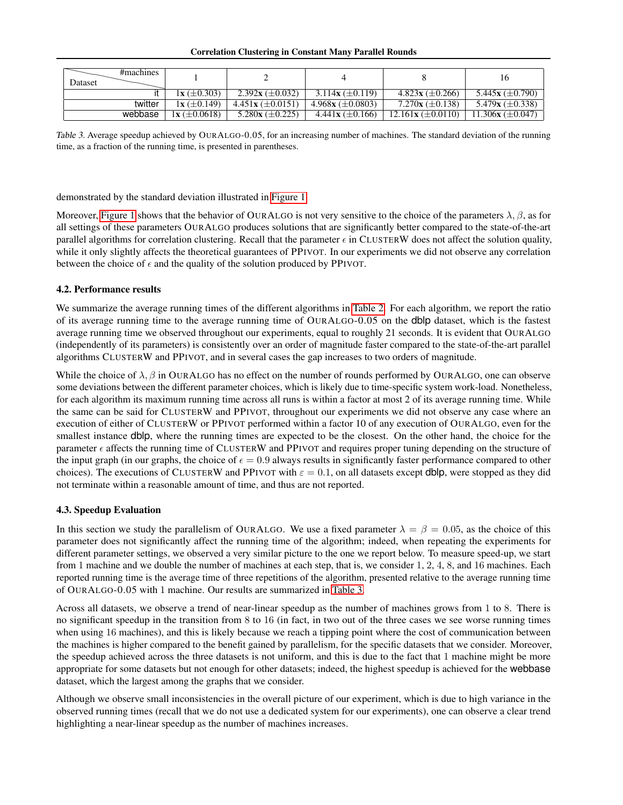#### Correlation Clustering in Constant Many Parallel Rounds

<span id="page-13-1"></span>

|         | #machines |                     |                       |                                 |                               |                       |
|---------|-----------|---------------------|-----------------------|---------------------------------|-------------------------------|-----------------------|
| Dataset |           |                     |                       |                                 |                               | 16                    |
|         |           | $1x \ (\pm 0.303)$  | 2.392x ( $\pm$ 0.032) | 3.114x $(\pm 0.119)$            | $4.823x \ (\pm 0.266)$        | 5.445x ( $\pm$ 0.790) |
|         | twitter   | $1x \ (\pm 0.149)$  | $4.451x (\pm 0.0151)$ | 4.968x ( $\pm$ 0.0803)          | $7.270x (\pm 0.138)$          | 5.479x $(\pm 0.338)$  |
|         | webbase   | $1x \ (\pm 0.0618)$ | 5.280x $(\pm 0.225)$  | $4.441$ <b>x</b> ( $\pm$ 0.166) | $12.161\text{x} (\pm 0.0110)$ | $11.306x (\pm 0.047)$ |

Table 3. Average speedup achieved by OURALGO-0.05, for an increasing number of machines. The standard deviation of the running time, as a fraction of the running time, is presented in parentheses.

demonstrated by the standard deviation illustrated in [Figure 1.](#page-11-3)

Moreover, [Figure 1](#page-11-3) shows that the behavior of OURALGO is not very sensitive to the choice of the parameters  $\lambda, \beta$ , as for all settings of these parameters OURALGO produces solutions that are significantly better compared to the state-of-the-art parallel algorithms for correlation clustering. Recall that the parameter  $\epsilon$  in CLUSTERW does not affect the solution quality, while it only slightly affects the theoretical guarantees of PPIVOT. In our experiments we did not observe any correlation between the choice of  $\epsilon$  and the quality of the solution produced by PPIVOT.

### 4.2. Performance results

We summarize the average running times of the different algorithms in [Table 2.](#page-12-1) For each algorithm, we report the ratio of its average running time to the average running time of OURALGO-0.05 on the dblp dataset, which is the fastest average running time we observed throughout our experiments, equal to roughly 21 seconds. It is evident that OURALGO (independently of its parameters) is consistently over an order of magnitude faster compared to the state-of-the-art parallel algorithms CLUSTERW and PPIVOT, and in several cases the gap increases to two orders of magnitude.

While the choice of  $\lambda$ ,  $\beta$  in OURALGO has no effect on the number of rounds performed by OURALGO, one can observe some deviations between the different parameter choices, which is likely due to time-specific system work-load. Nonetheless, for each algorithm its maximum running time across all runs is within a factor at most 2 of its average running time. While the same can be said for CLUSTERW and PPIVOT, throughout our experiments we did not observe any case where an execution of either of CLUSTERW or PPIVOT performed within a factor 10 of any execution of OURALGO, even for the smallest instance dblp, where the running times are expected to be the closest. On the other hand, the choice for the parameter  $\epsilon$  affects the running time of CLUSTERW and PPIVOT and requires proper tuning depending on the structure of the input graph (in our graphs, the choice of  $\epsilon = 0.9$  always results in significantly faster performance compared to other choices). The executions of CLUSTERW and PPIVOT with  $\varepsilon = 0.1$ , on all datasets except dblp, were stopped as they did not terminate within a reasonable amount of time, and thus are not reported.

### <span id="page-13-0"></span>4.3. Speedup Evaluation

In this section we study the parallelism of OURALGO. We use a fixed parameter  $\lambda = \beta = 0.05$ , as the choice of this parameter does not significantly affect the running time of the algorithm; indeed, when repeating the experiments for different parameter settings, we observed a very similar picture to the one we report below. To measure speed-up, we start from 1 machine and we double the number of machines at each step, that is, we consider 1, 2, 4, 8, and 16 machines. Each reported running time is the average time of three repetitions of the algorithm, presented relative to the average running time of OURALGO-0.05 with 1 machine. Our results are summarized in [Table 3.](#page-13-1)

Across all datasets, we observe a trend of near-linear speedup as the number of machines grows from 1 to 8. There is no significant speedup in the transition from 8 to 16 (in fact, in two out of the three cases we see worse running times when using 16 machines), and this is likely because we reach a tipping point where the cost of communication between the machines is higher compared to the benefit gained by parallelism, for the specific datasets that we consider. Moreover, the speedup achieved across the three datasets is not uniform, and this is due to the fact that 1 machine might be more appropriate for some datasets but not enough for other datasets; indeed, the highest speedup is achieved for the webbase dataset, which the largest among the graphs that we consider.

Although we observe small inconsistencies in the overall picture of our experiment, which is due to high variance in the observed running times (recall that we do not use a dedicated system for our experiments), one can observe a clear trend highlighting a near-linear speedup as the number of machines increases.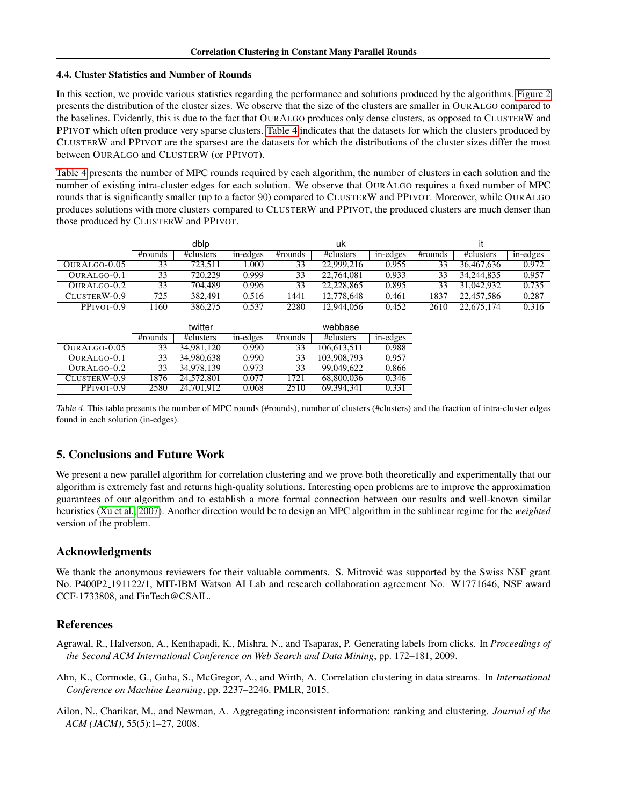#### 4.4. Cluster Statistics and Number of Rounds

In this section, we provide various statistics regarding the performance and solutions produced by the algorithms. [Figure 2](#page-15-5) presents the distribution of the cluster sizes. We observe that the size of the clusters are smaller in OURALGO compared to the baselines. Evidently, this is due to the fact that OURALGO produces only dense clusters, as opposed to CLUSTERW and PPIVOT which often produce very sparse clusters. [Table 4](#page-14-3) indicates that the datasets for which the clusters produced by CLUSTERW and PPIVOT are the sparsest are the datasets for which the distributions of the cluster sizes differ the most between OURALGO and CLUSTERW (or PPIVOT).

[Table 4](#page-14-3) presents the number of MPC rounds required by each algorithm, the number of clusters in each solution and the number of existing intra-cluster edges for each solution. We observe that OURALGO requires a fixed number of MPC rounds that is significantly smaller (up to a factor 90) compared to CLUSTERW and PPIVOT. Moreover, while OURALGO produces solutions with more clusters compared to CLUSTERW and PPIVOT, the produced clusters are much denser than those produced by CLUSTERW and PPIVOT.

<span id="page-14-3"></span>

|               | dblo    |           |          | uk      |            |          |         |            |          |
|---------------|---------|-----------|----------|---------|------------|----------|---------|------------|----------|
|               | #rounds | #clusters | in-edges | #rounds | #clusters  | in-edges | #rounds | #clusters  | in-edges |
| OURALGO-0.05  | 33      | 723.511   | .000     |         | 22,999,216 | 0.955    | 33      | 36,467,636 | 0.972    |
| OURALGO-0.1   | 33      | 720,229   | 0.999    |         | 22,764,081 | 0.933    | 33      | 34.244.835 | 0.957    |
| $QURALGO-0.2$ | 33      | 704,489   | 0.996    |         | 22.228.865 | 0.895    | 33      | 31,042,932 | 0.735    |
| CLUSTERW-0.9  | 725     | 382.491   | 0.516    | 1441    | 12,778,648 | 0.461    | 1837    | 22,457,586 | 0.287    |
| PPIVOT-0.9    | 1160    | 386,275   | 0.537    | 2280    | 12.944.056 | 0.452    | 2610    | 22,675,174 | 0.316    |

|              |         | twitter    |          | webbase |             |          |  |
|--------------|---------|------------|----------|---------|-------------|----------|--|
|              | #rounds | #clusters  | in-edges | #rounds | #clusters   | in-edges |  |
| OURALGO-0.05 | 33      | 34.981.120 | 0.990    | 33      | 106.613.511 | 0.988    |  |
| OURALGO-0.1  | 33      | 34,980,638 | 0.990    | 33      | 103,908,793 | 0.957    |  |
| OURALGO-0.2  | 33      | 34,978,139 | 0.973    | 33      | 99,049,622  | 0.866    |  |
| CLUSTERW-0.9 | 1876    | 24,572,801 | 0.077    | 1721    | 68,800,036  | 0.346    |  |
| PPIVOT-0.9   | 2580    | 24,701,912 | 0.068    | 2510    | 69.394.341  | 0.331    |  |

Table 4. This table presents the number of MPC rounds (#rounds), number of clusters (#clusters) and the fraction of intra-cluster edges found in each solution (in-edges).

## 5. Conclusions and Future Work

We present a new parallel algorithm for correlation clustering and we prove both theoretically and experimentally that our algorithm is extremely fast and returns high-quality solutions. Interesting open problems are to improve the approximation guarantees of our algorithm and to establish a more formal connection between our results and well-known similar heuristics [\(Xu et al., 2007\)](#page-16-18). Another direction would be to design an MPC algorithm in the sublinear regime for the *weighted* version of the problem.

### Acknowledgments

We thank the anonymous reviewers for their valuable comments. S. Mitrovic was supported by the Swiss NSF grant No. P400P2 191122/1, MIT-IBM Watson AI Lab and research collaboration agreement No. W1771646, NSF award CCF-1733808, and FinTech@CSAIL.

### References

- <span id="page-14-0"></span>Agrawal, R., Halverson, A., Kenthapadi, K., Mishra, N., and Tsaparas, P. Generating labels from clicks. In *Proceedings of the Second ACM International Conference on Web Search and Data Mining*, pp. 172–181, 2009.
- <span id="page-14-2"></span>Ahn, K., Cormode, G., Guha, S., McGregor, A., and Wirth, A. Correlation clustering in data streams. In *International Conference on Machine Learning*, pp. 2237–2246. PMLR, 2015.
- <span id="page-14-1"></span>Ailon, N., Charikar, M., and Newman, A. Aggregating inconsistent information: ranking and clustering. *Journal of the ACM (JACM)*, 55(5):1–27, 2008.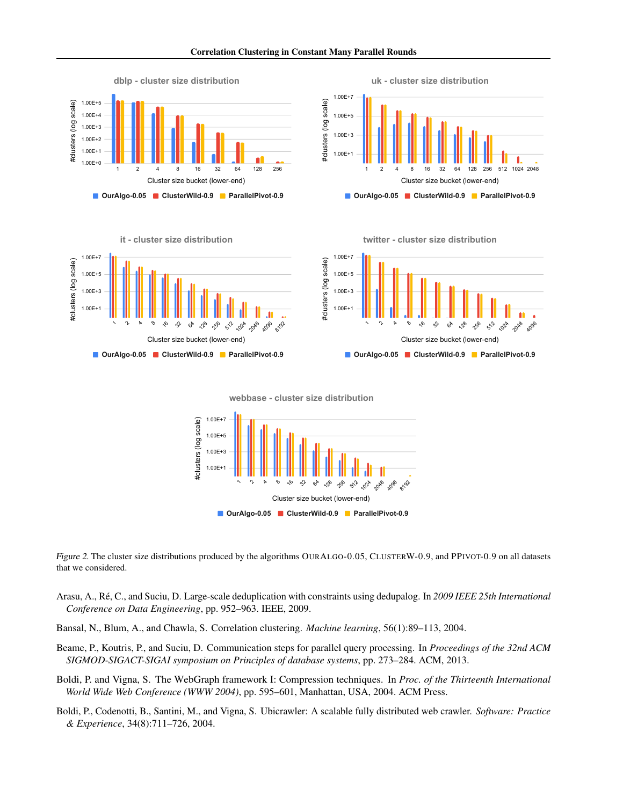<span id="page-15-5"></span>





Cluster size bucket (lower-end)

**OurAlgo-0.05 ClusterWild-0.9 ParallelPivot-0.9**

**twitter - cluster size distribution**



**webbase - cluster size distribution**



Figure 2. The cluster size distributions produced by the algorithms OURALGO-0.05, CLUSTERW-0.9, and PPIVOT-0.9 on all datasets that we considered.

- <span id="page-15-0"></span>Arasu, A., Re, C., and Suciu, D. Large-scale deduplication with constraints using dedupalog. In ´ *2009 IEEE 25th International Conference on Data Engineering*, pp. 952–963. IEEE, 2009.
- <span id="page-15-1"></span>Bansal, N., Blum, A., and Chawla, S. Correlation clustering. *Machine learning*, 56(1):89–113, 2004.
- <span id="page-15-2"></span>Beame, P., Koutris, P., and Suciu, D. Communication steps for parallel query processing. In *Proceedings of the 32nd ACM SIGMOD-SIGACT-SIGAI symposium on Principles of database systems*, pp. 273–284. ACM, 2013.
- <span id="page-15-3"></span>Boldi, P. and Vigna, S. The WebGraph framework I: Compression techniques. In *Proc. of the Thirteenth International World Wide Web Conference (WWW 2004)*, pp. 595–601, Manhattan, USA, 2004. ACM Press.
- <span id="page-15-4"></span>Boldi, P., Codenotti, B., Santini, M., and Vigna, S. Ubicrawler: A scalable fully distributed web crawler. *Software: Practice & Experience*, 34(8):711–726, 2004.